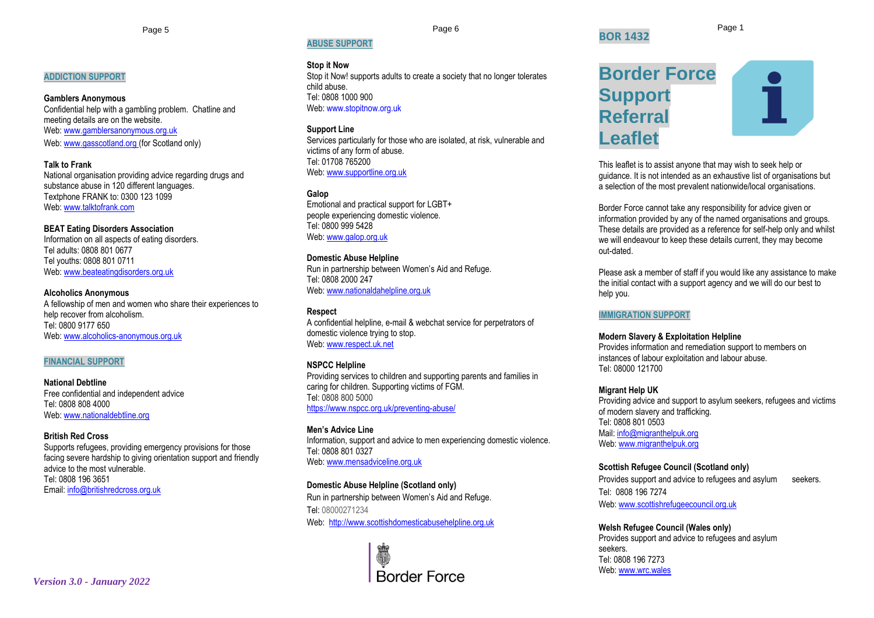#### **ADDICTION SUPPORT**

# **Gamblers Anonymous**

Confidential help with a gambling problem. Chatline and meeting details are on the website. Web[: www.gamblersanonymous.org.uk](http://www.gamblersanonymous.org.uk/) Web[: www.gasscotland.org](http://www.gasscotland.org/) (for Scotland only)

**Talk to Frank** National organisation providing advice regarding drugs and substance abuse in 120 different languages. Textphone FRANK to: 0300 123 1099 Web[: www.talktofrank.com](http://www.talktofrank.com/)

**BEAT Eating Disorders Association** Information on all aspects of eating disorders. Tel adults: 0808 801 0677 Tel youths: 0808 801 0711 Web[: www.beateatingdisorders.org.uk](http://www.beateatingdisorders.org.uk/)

# **Alcoholics Anonymous**

A fellowship of men and women who share their experiences to help recover from alcoholism. Tel: 0800 9177 650 Web: www.alcoholics-anonymous.org.uk

#### **FINANCIAL SUPPORT**

**National Debtline** Free confidential and independent advice Tel: 0808 808 4000 Web[: www.nationaldebtline.org](http://www.nationaldebtline.org/)

#### **British Red Cross**

Supports refugees, providing emergency provisions for those facing severe hardship to giving orientation support and friendly advice to the most vulnerable. Tel: 0808 196 3651 Email: [info@britishredcross.org.uk](mailto:info@britishredcross.org.uk)

# **ABUSE SUPPORT**

#### **Stop it Now**

Stop it Now! supports adults to create a society that no longer tolerates child abuse. Tel: 0808 1000 900 Web: www.stopitnow.org.uk

#### **Support Line**

Services particularly for those who are isolated, at risk, vulnerable and victims of any form of abuse. Tel: 01708 765200 Web: [www.supportline.org.uk](http://www.supportline.org.uk/)

**Galop**

Emotional and practical support for LGBT+ people experiencing domestic violence. Tel: 0800 999 5428 Web: [www.galop.org.uk](http://www.galop.org.uk/)

#### **Domestic Abuse Helpline** Run in partnership between Women's Aid and Refuge. Tel: 0808 2000 247 Web: [www.nationaldahelpline.org.uk](http://www.nationaldahelpline.org.uk/)

**Respect** A confidential helpline, e-mail & webchat service for perpetrators of domestic violence trying to stop. Web: [www.respect.uk.net](http://www.respect.uk.net/)

#### **NSPCC Helpline**

Providing services to children and supporting parents and families in caring for children. Supporting victims of FGM. Tel: 0808 800 5000 <https://www.nspcc.org.uk/preventing-abuse/>

**Men's Advice Line** Information, support and advice to men experiencing domestic violence. Tel: 0808 801 0327 Web: [www.mensadviceline.org.uk](http://www.mensadviceline.org.uk/)

#### **Domestic Abuse Helpline (Scotland only)**

Run in partnership between Women's Aid and Refuge. Tel: 08000271234 Web: [http://www.scottishdomesticabusehelpline.org.uk](http://www.scottishdomesticabusehelpline.org.uk/)



Page 5 Page 6 Page 1 **BOR 1432**

# **Border Force Support Referral Leaflet**

This leaflet is to assist anyone that may wish to seek help or guidance. It is not intended as an exhaustive list of organisations but a selection of the most prevalent nationwide/local organisations.

Border Force cannot take any responsibility for advice given or information provided by any of the named organisations and groups. These details are provided as a reference for self-help only and whilst we will endeavour to keep these details current, they may become out-dated.

Please ask a member of staff if you would like any assistance to make the initial contact with a support agency and we will do our best to help you.

#### **IMMIGRATION SUPPORT**

#### **Modern Slavery & Exploitation Helpline**

Provides information and remediation support to members on instances of labour exploitation and labour abuse. Tel: 08000 121700

#### **Migrant Help UK**

Providing advice and support to asylum seekers, refugees and victims of modern slavery and trafficking. Tel: 0808 801 0503 Mail[: info@migranthelpuk.org](mailto:info@migranthelpuk.org) Web: [www.migranthelpuk.org](http://www.migranthelpuk.org/)

#### **Scottish Refugee Council (Scotland only)**

Provides support and advice to refugees and asylum seekers. Tel: 0808 196 7274 Web: [www.scottishrefugeecouncil.org.uk](http://www.scottishrefugeecouncil.org.uk/)

#### **Welsh Refugee Council (Wales only)**

Provides support and advice to refugees and asylum seekers. Tel: 0808 196 7273 Web: [www.wrc.wales](http://www.wrc.wales/)